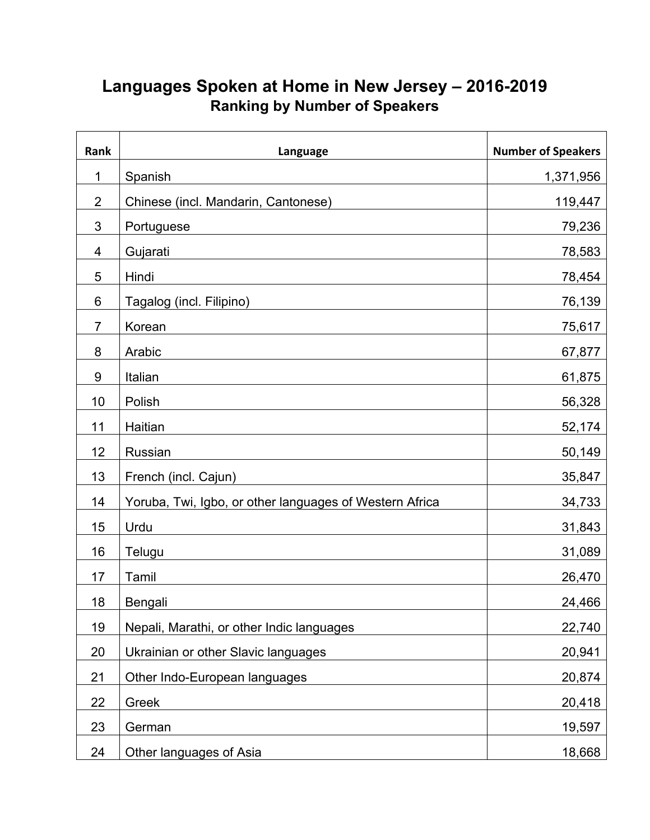## **Languages Spoken at Home in New Jersey – 2016-2019 Ranking by Number of Speakers**

| Rank           | Language                                                | <b>Number of Speakers</b> |
|----------------|---------------------------------------------------------|---------------------------|
| 1              | Spanish                                                 | 1,371,956                 |
| $\overline{2}$ | Chinese (incl. Mandarin, Cantonese)                     | 119,447                   |
| 3              | Portuguese                                              | 79,236                    |
| 4              | Gujarati                                                | 78,583                    |
| 5              | Hindi                                                   | 78,454                    |
| $\,6$          | Tagalog (incl. Filipino)                                | 76,139                    |
| $\overline{7}$ | Korean                                                  | 75,617                    |
| 8              | Arabic                                                  | 67,877                    |
| $9\,$          | Italian                                                 | 61,875                    |
| 10             | Polish                                                  | 56,328                    |
| 11             | Haitian                                                 | 52,174                    |
| 12             | Russian                                                 | 50,149                    |
| 13             | French (incl. Cajun)                                    | 35,847                    |
| 14             | Yoruba, Twi, Igbo, or other languages of Western Africa | 34,733                    |
| 15             | Urdu                                                    | 31,843                    |
| 16             | Telugu                                                  | 31,089                    |
| 17             | Tamil                                                   | 26,470                    |
| 18             | Bengali                                                 | 24,466                    |
| 19             | Nepali, Marathi, or other Indic languages               | 22,740                    |
| 20             | Ukrainian or other Slavic languages                     | 20,941                    |
| 21             | Other Indo-European languages                           | 20,874                    |
| 22             | Greek                                                   | 20,418                    |
| 23             | German                                                  | 19,597                    |
| 24             | Other languages of Asia                                 | 18,668                    |